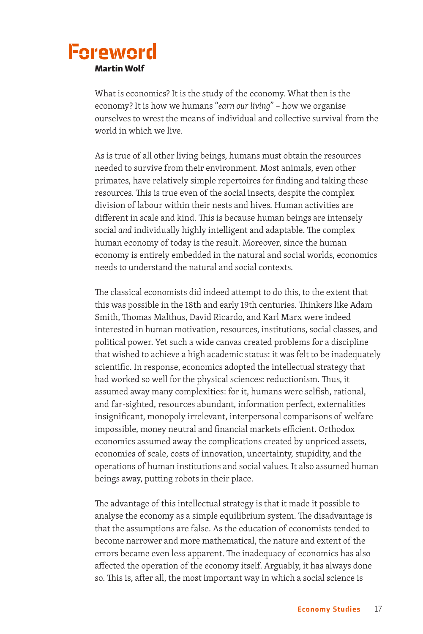## Foreword Martin Wolf

What is economics? It is the study of the economy. What then is the economy? It is how we humans "*earn our living*" – how we organise ourselves to wrest the means of individual and collective survival from the world in which we live.

As is true of all other living beings, humans must obtain the resources needed to survive from their environment. Most animals, even other primates, have relatively simple repertoires for finding and taking these resources. This is true even of the social insects, despite the complex division of labour within their nests and hives. Human activities are different in scale and kind. This is because human beings are intensely social *and* individually highly intelligent and adaptable. The complex human economy of today is the result. Moreover, since the human economy is entirely embedded in the natural and social worlds, economics needs to understand the natural and social contexts.

The classical economists did indeed attempt to do this, to the extent that this was possible in the 18th and early 19th centuries. Thinkers like Adam Smith, Thomas Malthus, David Ricardo, and Karl Marx were indeed interested in human motivation, resources, institutions, social classes, and political power. Yet such a wide canvas created problems for a discipline that wished to achieve a high academic status: it was felt to be inadequately scientific. In response, economics adopted the intellectual strategy that had worked so well for the physical sciences: reductionism. Thus, it assumed away many complexities: for it, humans were selfish, rational, and far-sighted, resources abundant, information perfect, externalities insignificant, monopoly irrelevant, interpersonal comparisons of welfare impossible, money neutral and financial markets efficient. Orthodox economics assumed away the complications created by unpriced assets, economies of scale, costs of innovation, uncertainty, stupidity, and the operations of human institutions and social values. It also assumed human beings away, putting robots in their place.

The advantage of this intellectual strategy is that it made it possible to analyse the economy as a simple equilibrium system. The disadvantage is that the assumptions are false. As the education of economists tended to become narrower and more mathematical, the nature and extent of the errors became even less apparent. The inadequacy of economics has also affected the operation of the economy itself. Arguably, it has always done so. This is, after all, the most important way in which a social science is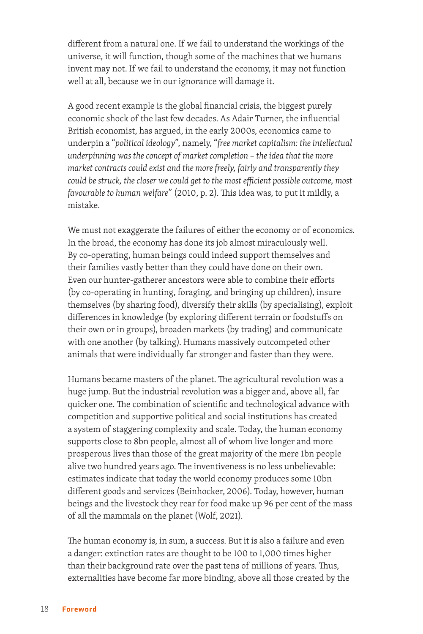different from a natural one. If we fail to understand the workings of the universe, it will function, though some of the machines that we humans invent may not. If we fail to understand the economy, it may not function well at all, because we in our ignorance will damage it.

A good recent example is the global financial crisis, the biggest purely economic shock of the last few decades. As Adair Turner, the influential British economist, has argued, in the early 2000s, economics came to underpin a "*political ideology*", namely, "*free market capitalism: the intellectual underpinning was the concept of market completion – the idea that the more market contracts could exist and the more freely, fairly and transparently they could be struck, the closer we could get to the most efficient possible outcome, most favourable to human welfare*" (2010, p. 2). This idea was, to put it mildly, a mistake.

We must not exaggerate the failures of either the economy or of economics. In the broad, the economy has done its job almost miraculously well. By co-operating, human beings could indeed support themselves and their families vastly better than they could have done on their own. Even our hunter-gatherer ancestors were able to combine their efforts (by co-operating in hunting, foraging, and bringing up children), insure themselves (by sharing food), diversify their skills (by specialising), exploit differences in knowledge (by exploring different terrain or foodstuffs on their own or in groups), broaden markets (by trading) and communicate with one another (by talking). Humans massively outcompeted other animals that were individually far stronger and faster than they were.

Humans became masters of the planet. The agricultural revolution was a huge jump. But the industrial revolution was a bigger and, above all, far quicker one. The combination of scientific and technological advance with competition and supportive political and social institutions has created a system of staggering complexity and scale. Today, the human economy supports close to 8bn people, almost all of whom live longer and more prosperous lives than those of the great majority of the mere 1bn people alive two hundred years ago. The inventiveness is no less unbelievable: estimates indicate that today the world economy produces some 10bn different goods and services (Beinhocker, 2006). Today, however, human beings and the livestock they rear for food make up 96 per cent of the mass of all the mammals on the planet (Wolf, 2021).

The human economy is, in sum, a success. But it is also a failure and even a danger: extinction rates are thought to be 100 to 1,000 times higher than their background rate over the past tens of millions of years. Thus, externalities have become far more binding, above all those created by the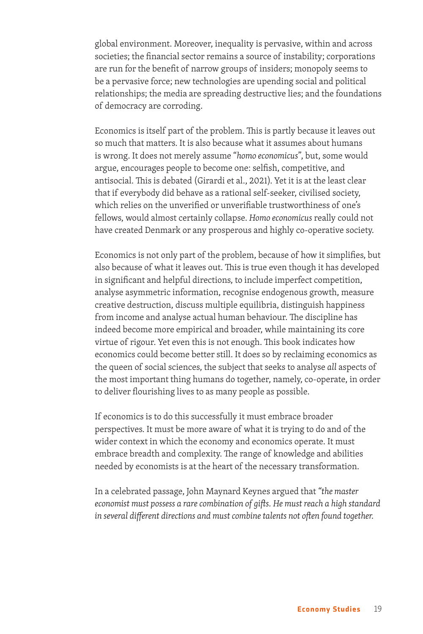global environment. Moreover, inequality is pervasive, within and across societies; the financial sector remains a source of instability; corporations are run for the benefit of narrow groups of insiders; monopoly seems to be a pervasive force; new technologies are upending social and political relationships; the media are spreading destructive lies; and the foundations of democracy are corroding.

Economics is itself part of the problem. This is partly because it leaves out so much that matters. It is also because what it assumes about humans is wrong. It does not merely assume "*homo economicus*", but, some would argue, encourages people to become one: selfish, competitive, and antisocial. This is debated (Girardi et al., 2021). Yet it is at the least clear that if everybody did behave as a rational self-seeker, civilised society, which relies on the unverified or unverifiable trustworthiness of one's fellows, would almost certainly collapse. *Homo economicus* really could not have created Denmark or any prosperous and highly co-operative society.

Economics is not only part of the problem, because of how it simplifies, but also because of what it leaves out. This is true even though it has developed in significant and helpful directions, to include imperfect competition, analyse asymmetric information, recognise endogenous growth, measure creative destruction, discuss multiple equilibria, distinguish happiness from income and analyse actual human behaviour. The discipline has indeed become more empirical and broader, while maintaining its core virtue of rigour. Yet even this is not enough. This book indicates how economics could become better still. It does so by reclaiming economics as the queen of social sciences, the subject that seeks to analyse *all* aspects of the most important thing humans do together, namely, co-operate, in order to deliver flourishing lives to as many people as possible.

If economics is to do this successfully it must embrace broader perspectives. It must be more aware of what it is trying to do and of the wider context in which the economy and economics operate. It must embrace breadth and complexity. The range of knowledge and abilities needed by economists is at the heart of the necessary transformation.

In a celebrated passage, John Maynard Keynes argued that *"the master economist must possess a rare combination of gifts. He must reach a high standard in several different directions and must combine talents not often found together.*